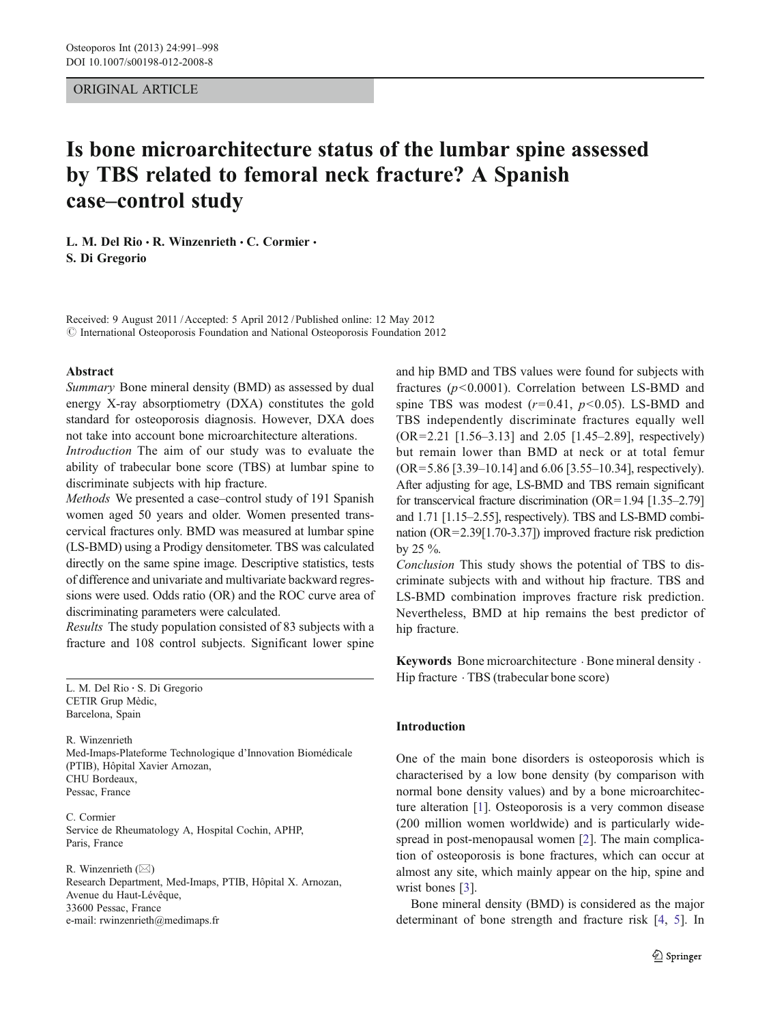## ORIGINAL ARTICLE

# Is bone microarchitecture status of the lumbar spine assessed by TBS related to femoral neck fracture? A Spanish case–control study

L. M. Del Rio  $\cdot$  R. Winzenrieth  $\cdot$  C. Cormier  $\cdot$ S. Di Gregorio

Received: 9 August 2011 /Accepted: 5 April 2012 / Published online: 12 May 2012  $\oslash$  International Osteoporosis Foundation and National Osteoporosis Foundation 2012

## Abstract

Summary Bone mineral density (BMD) as assessed by dual energy X-ray absorptiometry (DXA) constitutes the gold standard for osteoporosis diagnosis. However, DXA does not take into account bone microarchitecture alterations.

Introduction The aim of our study was to evaluate the ability of trabecular bone score (TBS) at lumbar spine to discriminate subjects with hip fracture.

Methods We presented a case–control study of 191 Spanish women aged 50 years and older. Women presented transcervical fractures only. BMD was measured at lumbar spine (LS-BMD) using a Prodigy densitometer. TBS was calculated directly on the same spine image. Descriptive statistics, tests of difference and univariate and multivariate backward regressions were used. Odds ratio (OR) and the ROC curve area of discriminating parameters were calculated.

Results The study population consisted of 83 subjects with a fracture and 108 control subjects. Significant lower spine

L. M. Del Rio : S. Di Gregorio CETIR Grup Mèdic, Barcelona, Spain

R. Winzenrieth Med-Imaps-Plateforme Technologique d'Innovation Biomédicale (PTIB), Hôpital Xavier Arnozan, CHU Bordeaux, Pessac, France

C. Cormier Service de Rheumatology A, Hospital Cochin, APHP, Paris, France

R. Winzenrieth  $(\boxtimes)$ Research Department, Med-Imaps, PTIB, Hôpital X. Arnozan, Avenue du Haut-Lévêque, 33600 Pessac, France e-mail: rwinzenrieth@medimaps.fr

and hip BMD and TBS values were found for subjects with fractures ( $p$ <0.0001). Correlation between LS-BMD and spine TBS was modest  $(r=0.41, p<0.05)$ . LS-BMD and TBS independently discriminate fractures equally well  $(OR=2.21 \; [1.56-3.13]$  and 2.05  $[1.45-2.89]$ , respectively) but remain lower than BMD at neck or at total femur  $(OR=5.86 [3.39-10.14]$  and  $6.06 [3.55-10.34]$ , respectively). After adjusting for age, LS-BMD and TBS remain significant for transcervical fracture discrimination  $(OR=1.94$   $[1.35-2.79]$ and 1.71 [1.15–2.55], respectively). TBS and LS-BMD combination  $(OR=2.39[1.70-3.37])$  improved fracture risk prediction by 25 %.

Conclusion This study shows the potential of TBS to discriminate subjects with and without hip fracture. TBS and LS-BMD combination improves fracture risk prediction. Nevertheless, BMD at hip remains the best predictor of hip fracture.

Keywords Bone microarchitecture . Bone mineral density . Hip fracture  $\cdot$  TBS (trabecular bone score)

## Introduction

One of the main bone disorders is osteoporosis which is characterised by a low bone density (by comparison with normal bone density values) and by a bone microarchitecture alteration [[1\]](#page-6-0). Osteoporosis is a very common disease (200 million women worldwide) and is particularly widespread in post-menopausal women [\[2](#page-6-0)]. The main complication of osteoporosis is bone fractures, which can occur at almost any site, which mainly appear on the hip, spine and wrist bones [\[3](#page-6-0)].

Bone mineral density (BMD) is considered as the major determinant of bone strength and fracture risk [[4,](#page-6-0) [5\]](#page-6-0). In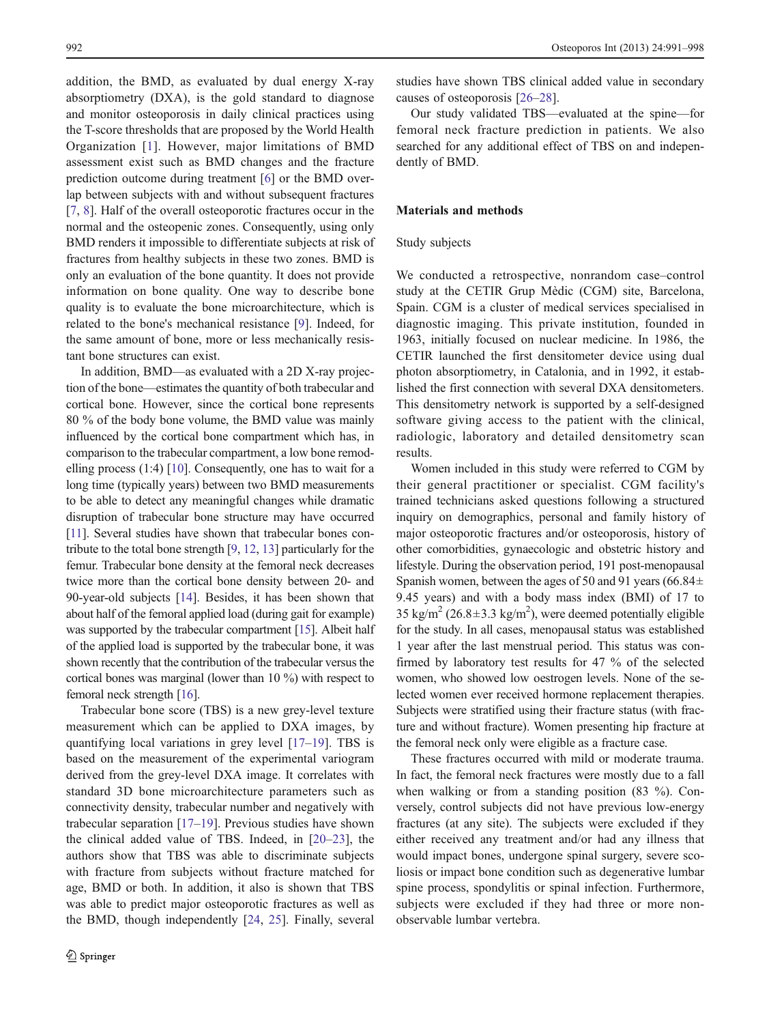addition, the BMD, as evaluated by dual energy X-ray absorptiometry (DXA), is the gold standard to diagnose and monitor osteoporosis in daily clinical practices using the T-score thresholds that are proposed by the World Health Organization [\[1\]](#page-6-0). However, major limitations of BMD assessment exist such as BMD changes and the fracture prediction outcome during treatment [\[6](#page-6-0)] or the BMD overlap between subjects with and without subsequent fractures [\[7](#page-6-0), [8](#page-6-0)]. Half of the overall osteoporotic fractures occur in the normal and the osteopenic zones. Consequently, using only BMD renders it impossible to differentiate subjects at risk of fractures from healthy subjects in these two zones. BMD is only an evaluation of the bone quantity. It does not provide information on bone quality. One way to describe bone quality is to evaluate the bone microarchitecture, which is related to the bone's mechanical resistance [[9\]](#page-6-0). Indeed, for the same amount of bone, more or less mechanically resistant bone structures can exist.

In addition, BMD—as evaluated with a 2D X-ray projection of the bone—estimates the quantity of both trabecular and cortical bone. However, since the cortical bone represents 80 % of the body bone volume, the BMD value was mainly influenced by the cortical bone compartment which has, in comparison to the trabecular compartment, a low bone remodelling process (1:4) [\[10\]](#page-6-0). Consequently, one has to wait for a long time (typically years) between two BMD measurements to be able to detect any meaningful changes while dramatic disruption of trabecular bone structure may have occurred [\[11\]](#page-6-0). Several studies have shown that trabecular bones contribute to the total bone strength [[9](#page-6-0), [12,](#page-6-0) [13](#page-6-0)] particularly for the femur. Trabecular bone density at the femoral neck decreases twice more than the cortical bone density between 20- and 90-year-old subjects [\[14\]](#page-7-0). Besides, it has been shown that about half of the femoral applied load (during gait for example) was supported by the trabecular compartment [[15](#page-7-0)]. Albeit half of the applied load is supported by the trabecular bone, it was shown recently that the contribution of the trabecular versus the cortical bones was marginal (lower than 10 %) with respect to femoral neck strength [[16](#page-7-0)].

Trabecular bone score (TBS) is a new grey-level texture measurement which can be applied to DXA images, by quantifying local variations in grey level [[17](#page-7-0)–[19\]](#page-7-0). TBS is based on the measurement of the experimental variogram derived from the grey-level DXA image. It correlates with standard 3D bone microarchitecture parameters such as connectivity density, trabecular number and negatively with trabecular separation [[17](#page-7-0)–[19\]](#page-7-0). Previous studies have shown the clinical added value of TBS. Indeed, in [[20](#page-7-0)–[23\]](#page-7-0), the authors show that TBS was able to discriminate subjects with fracture from subjects without fracture matched for age, BMD or both. In addition, it also is shown that TBS was able to predict major osteoporotic fractures as well as the BMD, though independently [\[24](#page-7-0), [25\]](#page-7-0). Finally, several studies have shown TBS clinical added value in secondary causes of osteoporosis [[26](#page-7-0)–[28\]](#page-7-0).

Our study validated TBS—evaluated at the spine—for femoral neck fracture prediction in patients. We also searched for any additional effect of TBS on and independently of BMD.

# Materials and methods

# Study subjects

We conducted a retrospective, nonrandom case–control study at the CETIR Grup Mèdic (CGM) site, Barcelona, Spain. CGM is a cluster of medical services specialised in diagnostic imaging. This private institution, founded in 1963, initially focused on nuclear medicine. In 1986, the CETIR launched the first densitometer device using dual photon absorptiometry, in Catalonia, and in 1992, it established the first connection with several DXA densitometers. This densitometry network is supported by a self-designed software giving access to the patient with the clinical, radiologic, laboratory and detailed densitometry scan results.

Women included in this study were referred to CGM by their general practitioner or specialist. CGM facility's trained technicians asked questions following a structured inquiry on demographics, personal and family history of major osteoporotic fractures and/or osteoporosis, history of other comorbidities, gynaecologic and obstetric history and lifestyle. During the observation period, 191 post-menopausal Spanish women, between the ages of 50 and 91 years (66.84 $\pm$ 9.45 years) and with a body mass index (BMI) of 17 to 35 kg/m<sup>2</sup> (26.8 ± 3.3 kg/m<sup>2</sup>), were deemed potentially eligible for the study. In all cases, menopausal status was established 1 year after the last menstrual period. This status was confirmed by laboratory test results for 47 % of the selected women, who showed low oestrogen levels. None of the selected women ever received hormone replacement therapies. Subjects were stratified using their fracture status (with fracture and without fracture). Women presenting hip fracture at the femoral neck only were eligible as a fracture case.

These fractures occurred with mild or moderate trauma. In fact, the femoral neck fractures were mostly due to a fall when walking or from a standing position (83 %). Conversely, control subjects did not have previous low-energy fractures (at any site). The subjects were excluded if they either received any treatment and/or had any illness that would impact bones, undergone spinal surgery, severe scoliosis or impact bone condition such as degenerative lumbar spine process, spondylitis or spinal infection. Furthermore, subjects were excluded if they had three or more nonobservable lumbar vertebra.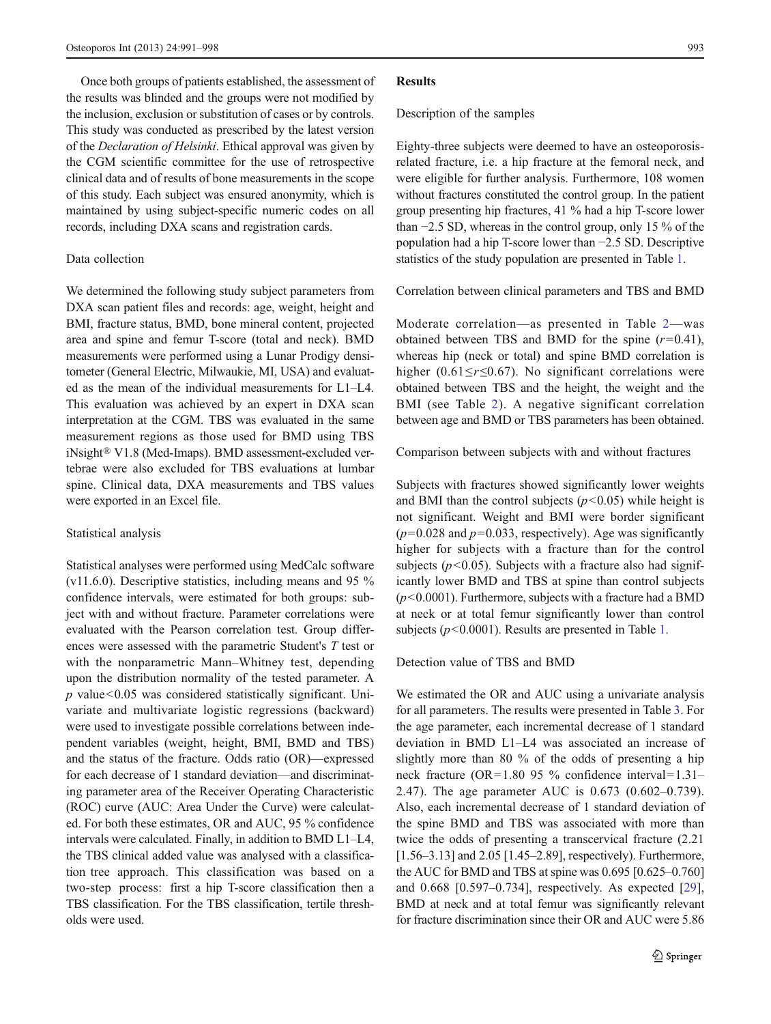Once both groups of patients established, the assessment of the results was blinded and the groups were not modified by the inclusion, exclusion or substitution of cases or by controls. This study was conducted as prescribed by the latest version of the Declaration of Helsinki. Ethical approval was given by the CGM scientific committee for the use of retrospective clinical data and of results of bone measurements in the scope of this study. Each subject was ensured anonymity, which is maintained by using subject-specific numeric codes on all records, including DXA scans and registration cards.

## Data collection

We determined the following study subject parameters from DXA scan patient files and records: age, weight, height and BMI, fracture status, BMD, bone mineral content, projected area and spine and femur T-score (total and neck). BMD measurements were performed using a Lunar Prodigy densitometer (General Electric, Milwaukie, MI, USA) and evaluated as the mean of the individual measurements for L1–L4. This evaluation was achieved by an expert in DXA scan interpretation at the CGM. TBS was evaluated in the same measurement regions as those used for BMD using TBS iNsight® V1.8 (Med-Imaps). BMD assessment-excluded vertebrae were also excluded for TBS evaluations at lumbar spine. Clinical data, DXA measurements and TBS values were exported in an Excel file.

#### Statistical analysis

Statistical analyses were performed using MedCalc software (v11.6.0). Descriptive statistics, including means and 95 % confidence intervals, were estimated for both groups: subject with and without fracture. Parameter correlations were evaluated with the Pearson correlation test. Group differences were assessed with the parametric Student's T test or with the nonparametric Mann–Whitney test, depending upon the distribution normality of the tested parameter. A  $p$  value < 0.05 was considered statistically significant. Univariate and multivariate logistic regressions (backward) were used to investigate possible correlations between independent variables (weight, height, BMI, BMD and TBS) and the status of the fracture. Odds ratio (OR)—expressed for each decrease of 1 standard deviation—and discriminating parameter area of the Receiver Operating Characteristic (ROC) curve (AUC: Area Under the Curve) were calculated. For both these estimates, OR and AUC, 95 % confidence intervals were calculated. Finally, in addition to BMD L1–L4, the TBS clinical added value was analysed with a classification tree approach. This classification was based on a two-step process: first a hip T-score classification then a TBS classification. For the TBS classification, tertile thresholds were used.

#### Results

#### Description of the samples

Eighty-three subjects were deemed to have an osteoporosisrelated fracture, i.e. a hip fracture at the femoral neck, and were eligible for further analysis. Furthermore, 108 women without fractures constituted the control group. In the patient group presenting hip fractures, 41 % had a hip T-score lower than −2.5 SD, whereas in the control group, only 15 % of the population had a hip T-score lower than −2.5 SD. Descriptive statistics of the study population are presented in Table [1.](#page-3-0)

### Correlation between clinical parameters and TBS and BMD

Moderate correlation—as presented in Table [2](#page-3-0)—was obtained between TBS and BMD for the spine  $(r=0.41)$ , whereas hip (neck or total) and spine BMD correlation is higher (0.61≤r≤0.67). No significant correlations were obtained between TBS and the height, the weight and the BMI (see Table [2](#page-3-0)). A negative significant correlation between age and BMD or TBS parameters has been obtained.

#### Comparison between subjects with and without fractures

Subjects with fractures showed significantly lower weights and BMI than the control subjects  $(p<0.05)$  while height is not significant. Weight and BMI were border significant  $(p=0.028$  and  $p=0.033$ , respectively). Age was significantly higher for subjects with a fracture than for the control subjects ( $p$ <0.05). Subjects with a fracture also had significantly lower BMD and TBS at spine than control subjects  $(p<0.0001)$ . Furthermore, subjects with a fracture had a BMD at neck or at total femur significantly lower than control subjects ( $p$ <0.000[1](#page-3-0)). Results are presented in Table 1.

# Detection value of TBS and BMD

We estimated the OR and AUC using a univariate analysis for all parameters. The results were presented in Table [3.](#page-4-0) For the age parameter, each incremental decrease of 1 standard deviation in BMD L1–L4 was associated an increase of slightly more than 80 % of the odds of presenting a hip neck fracture (OR=1.80 95 % confidence interval= $1.31-$ 2.47). The age parameter AUC is 0.673 (0.602–0.739). Also, each incremental decrease of 1 standard deviation of the spine BMD and TBS was associated with more than twice the odds of presenting a transcervical fracture (2.21 [1.56–3.13] and 2.05 [1.45–2.89], respectively). Furthermore, the AUC for BMD and TBS at spine was 0.695 [0.625–0.760] and 0.668 [0.597–0.734], respectively. As expected [\[29](#page-7-0)], BMD at neck and at total femur was significantly relevant for fracture discrimination since their OR and AUC were 5.86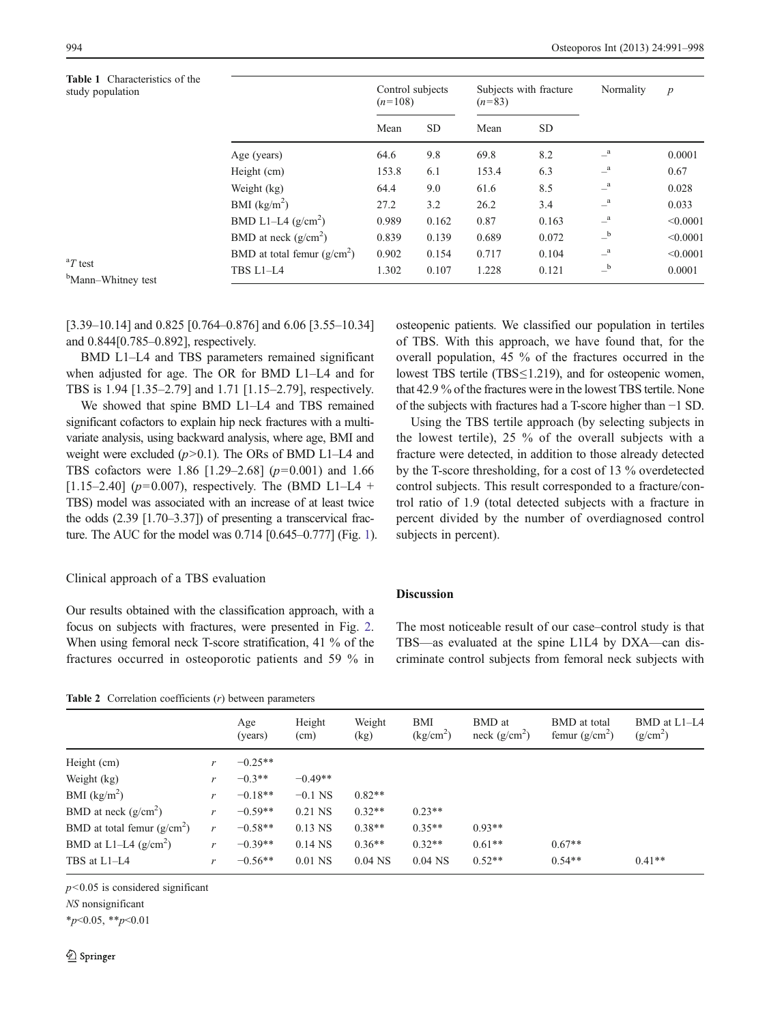# <span id="page-3-0"></span>Table 1 Characteristics of the

| <b>Table 1</b> Characteristics of the<br>study population |                              | Control subjects<br>$(n=108)$ |           | Subjects with fracture<br>$(n=83)$ |           | Normality        | $\boldsymbol{p}$ |
|-----------------------------------------------------------|------------------------------|-------------------------------|-----------|------------------------------------|-----------|------------------|------------------|
|                                                           |                              | Mean                          | <b>SD</b> | Mean                               | <b>SD</b> |                  |                  |
|                                                           | Age (years)                  | 64.6                          | 9.8       | 69.8                               | 8.2       | $\mathbf{a}$     | 0.0001           |
|                                                           | Height (cm)                  | 153.8                         | 6.1       | 153.4                              | 6.3       | $\mathbf{a}$     | 0.67             |
|                                                           | Weight (kg)                  | 64.4                          | 9.0       | 61.6                               | 8.5       | $\mathbf{a}$     | 0.028            |
|                                                           | BMI $(kg/m2)$                | 27.2                          | 3.2       | 26.2                               | 3.4       | $\mathbf{a}$     | 0.033            |
|                                                           | BMD L1-L4 $(g/cm2)$          | 0.989                         | 0.162     | 0.87                               | 0.163     | $-$ <sup>a</sup> | < 0.0001         |
|                                                           | BMD at neck $(g/cm2)$        | 0.839                         | 0.139     | 0.689                              | 0.072     | b                | < 0.0001         |
| ${}^aT$ test<br><sup>b</sup> Mann-Whitney test            | BMD at total femur $(g/cm2)$ | 0.902                         | 0.154     | 0.717                              | 0.104     | $\mathbf{a}$     | < 0.0001         |
|                                                           | TBS L1-L4                    | 1.302                         | 0.107     | 1.228                              | 0.121     | b                | 0.0001           |

[3.39–10.14] and 0.825 [0.764–0.876] and 6.06 [3.55–10.34] and 0.844[0.785–0.892], respectively.

BMD L1–L4 and TBS parameters remained significant when adjusted for age. The OR for BMD L1–L4 and for TBS is 1.94 [1.35–2.79] and 1.71 [1.15–2.79], respectively.

We showed that spine BMD L1–L4 and TBS remained significant cofactors to explain hip neck fractures with a multivariate analysis, using backward analysis, where age, BMI and weight were excluded  $(p>0.1)$ . The ORs of BMD L1–L4 and TBS cofactors were 1.86 [1.29–2.68]  $(p=0.001)$  and 1.66 [1.15–2.40] ( $p=0.007$ ), respectively. The (BMD L1–L4 + TBS) model was associated with an increase of at least twice the odds (2.39 [1.70–3.37]) of presenting a transcervical fracture. The AUC for the model was 0.714 [0.645–0.777] (Fig. [1](#page-4-0)).

# Clinical approach of a TBS evaluation

Our results obtained with the classification approach, with a focus on subjects with fractures, were presented in Fig. [2.](#page-5-0) When using femoral neck T-score stratification, 41 % of the fractures occurred in osteoporotic patients and 59 % in

Table 2 Correlation coefficients  $(r)$  between parameters

osteopenic patients. We classified our population in tertiles of TBS. With this approach, we have found that, for the overall population, 45 % of the fractures occurred in the lowest TBS tertile (TBS≤1.219), and for osteopenic women, that 42.9 % of the fractures were in the lowest TBS tertile. None of the subjects with fractures had a T-score higher than −1 SD.

Using the TBS tertile approach (by selecting subjects in the lowest tertile), 25 % of the overall subjects with a fracture were detected, in addition to those already detected by the T-score thresholding, for a cost of 13 % overdetected control subjects. This result corresponded to a fracture/control ratio of 1.9 (total detected subjects with a fracture in percent divided by the number of overdiagnosed control subjects in percent).

## Discussion

The most noticeable result of our case–control study is that TBS—as evaluated at the spine L1L4 by DXA—can discriminate control subjects from femoral neck subjects with

|                              |              | Age<br>(years) | Height<br>(cm) | Weight<br>(kg) | BMI<br>$\frac{\text{kg/cm}^2}{\text{m}^2}$ | BMD at<br>neck $(g/cm2)$ | <b>BMD</b> at total<br>femur $(g/cm2)$ | $BMD$ at $L1-I.4$<br>(g/cm <sup>2</sup> ) |
|------------------------------|--------------|----------------|----------------|----------------|--------------------------------------------|--------------------------|----------------------------------------|-------------------------------------------|
| Height (cm)                  |              | $-0.25**$      |                |                |                                            |                          |                                        |                                           |
| Weight (kg)                  |              | $-0.3**$       | $-0.49**$      |                |                                            |                          |                                        |                                           |
| BMI $(kg/m2)$                | r            | $-0.18**$      | $-0.1$ NS      | $0.82**$       |                                            |                          |                                        |                                           |
| BMD at neck $(g/cm2)$        | r            | $-0.59**$      | $0.21$ NS      | $0.32**$       | $0.23**$                                   |                          |                                        |                                           |
| BMD at total femur $(g/cm2)$ | $\mathbf{r}$ | $-0.58**$      | $0.13$ NS      | $0.38**$       | $0.35**$                                   | $0.93**$                 |                                        |                                           |
| BMD at L1–L4 $(g/cm2)$       | r            | $-0.39**$      | $0.14$ NS      | $0.36**$       | $0.32**$                                   | $0.61**$                 | $0.67**$                               |                                           |
| TBS at L1-L4                 | r            | $-0.56**$      | $0.01$ NS      | $0.04$ NS      | $0.04$ NS                                  | $0.52**$                 | $0.54**$                               | $0.41**$                                  |

 $p<0.05$  is considered significant

NS nonsignificant

 $*_{p<0.05}$ ,  $*_{p<0.01}$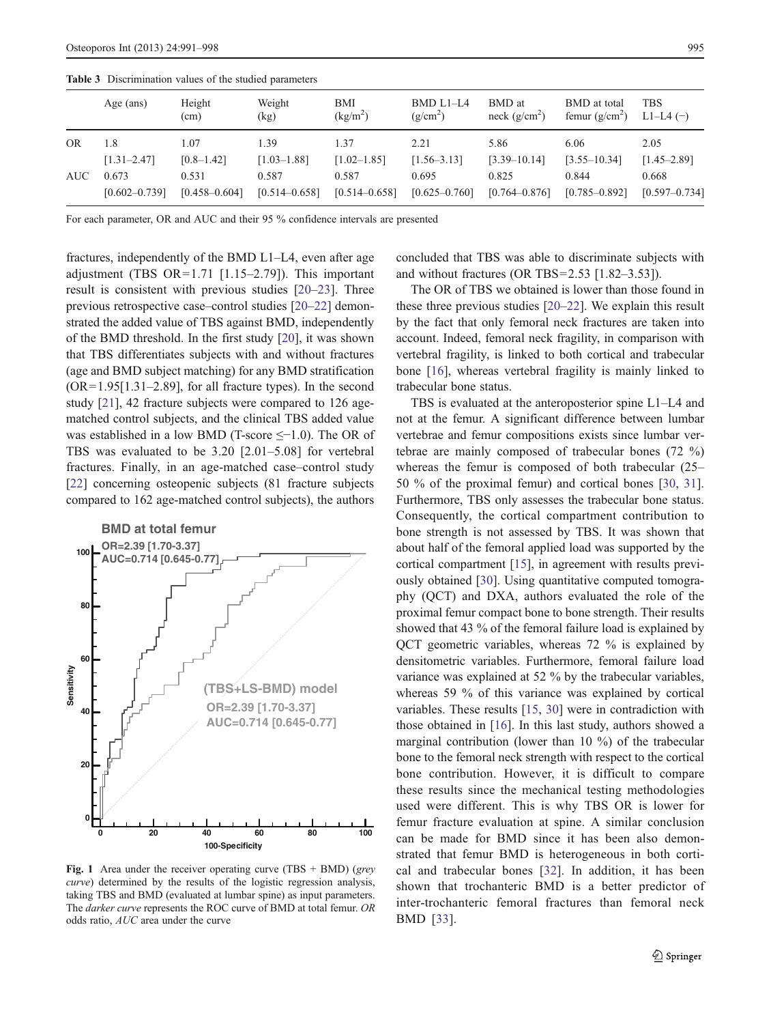<span id="page-4-0"></span>Table 3 Discrimination values of the studied parameters

|            | Age $(ans)$       | Height<br>(cm)    | Weight<br>(kg)    | <b>BMI</b><br>$(kg/m^2)$ | BMD L1-L4<br>(g/cm <sup>2</sup> ) | BMD at<br>neck (g/cm <sup>2</sup> ) | BMD at total<br>femur $(g/cm2)$ | <b>TBS</b><br>$L1-L4$ (-) |
|------------|-------------------|-------------------|-------------------|--------------------------|-----------------------------------|-------------------------------------|---------------------------------|---------------------------|
| <b>OR</b>  | 1.8               | 1.07              | 1.39              | 1.37                     | 2.21                              | 5.86                                | 6.06                            | 2.05                      |
|            | $[1.31 - 2.47]$   | $[0.8 - 1.42]$    | $[1.03 - 1.88]$   | $[1.02 - 1.85]$          | $[1.56 - 3.13]$                   | $[3.39 - 10.14]$                    | $[3.55 - 10.34]$                | $[1.45 - 2.89]$           |
| <b>AUC</b> | 0.673             | 0.531             | 0.587             | 0.587                    | 0.695                             | 0.825                               | 0.844                           | 0.668                     |
|            | $[0.602 - 0.739]$ | $[0.458 - 0.604]$ | $[0.514 - 0.658]$ | $[0.514 - 0.658]$        | $[0.625 - 0.760]$                 | $[0.764 - 0.876]$                   | $[0.785 - 0.892]$               | $[0.597 - 0.734]$         |

For each parameter, OR and AUC and their 95 % confidence intervals are presented

fractures, independently of the BMD L1–L4, even after age adjustment (TBS  $OR=1.71$  [1.15–2.79]). This important result is consistent with previous studies [\[20](#page-7-0)–[23\]](#page-7-0). Three previous retrospective case–control studies [[20](#page-7-0)–[22\]](#page-7-0) demonstrated the added value of TBS against BMD, independently of the BMD threshold. In the first study [[20\]](#page-7-0), it was shown that TBS differentiates subjects with and without fractures (age and BMD subject matching) for any BMD stratification  $(OR=1.95[1.31-2.89]$ , for all fracture types). In the second study [[21\]](#page-7-0), 42 fracture subjects were compared to 126 agematched control subjects, and the clinical TBS added value was established in a low BMD (T-score ≤−1.0). The OR of TBS was evaluated to be 3.20 [2.01–5.08] for vertebral fractures. Finally, in an age-matched case–control study [\[22](#page-7-0)] concerning osteopenic subjects (81 fracture subjects compared to 162 age-matched control subjects), the authors



Fig. 1 Area under the receiver operating curve (TBS  $+$  BMD) (grey curve) determined by the results of the logistic regression analysis, taking TBS and BMD (evaluated at lumbar spine) as input parameters. The darker curve represents the ROC curve of BMD at total femur. OR odds ratio, AUC area under the curve

concluded that TBS was able to discriminate subjects with and without fractures (OR TBS= $2.53$  [1.82–3.53]).

The OR of TBS we obtained is lower than those found in these three previous studies [\[20](#page-7-0)–[22](#page-7-0)]. We explain this result by the fact that only femoral neck fractures are taken into account. Indeed, femoral neck fragility, in comparison with vertebral fragility, is linked to both cortical and trabecular bone [[16\]](#page-7-0), whereas vertebral fragility is mainly linked to trabecular bone status.

TBS is evaluated at the anteroposterior spine L1–L4 and not at the femur. A significant difference between lumbar vertebrae and femur compositions exists since lumbar vertebrae are mainly composed of trabecular bones (72 %) whereas the femur is composed of both trabecular (25– 50 % of the proximal femur) and cortical bones [\[30](#page-7-0), [31\]](#page-7-0). Furthermore, TBS only assesses the trabecular bone status. Consequently, the cortical compartment contribution to bone strength is not assessed by TBS. It was shown that about half of the femoral applied load was supported by the cortical compartment [\[15](#page-7-0)], in agreement with results previously obtained [[30\]](#page-7-0). Using quantitative computed tomography (QCT) and DXA, authors evaluated the role of the proximal femur compact bone to bone strength. Their results showed that 43 % of the femoral failure load is explained by QCT geometric variables, whereas 72 % is explained by densitometric variables. Furthermore, femoral failure load variance was explained at 52 % by the trabecular variables, whereas 59 % of this variance was explained by cortical variables. These results [\[15](#page-7-0), [30\]](#page-7-0) were in contradiction with those obtained in [[16\]](#page-7-0). In this last study, authors showed a marginal contribution (lower than 10 %) of the trabecular bone to the femoral neck strength with respect to the cortical bone contribution. However, it is difficult to compare these results since the mechanical testing methodologies used were different. This is why TBS OR is lower for femur fracture evaluation at spine. A similar conclusion can be made for BMD since it has been also demonstrated that femur BMD is heterogeneous in both cortical and trabecular bones [\[32](#page-7-0)]. In addition, it has been shown that trochanteric BMD is a better predictor of inter-trochanteric femoral fractures than femoral neck BMD [[33](#page-7-0)].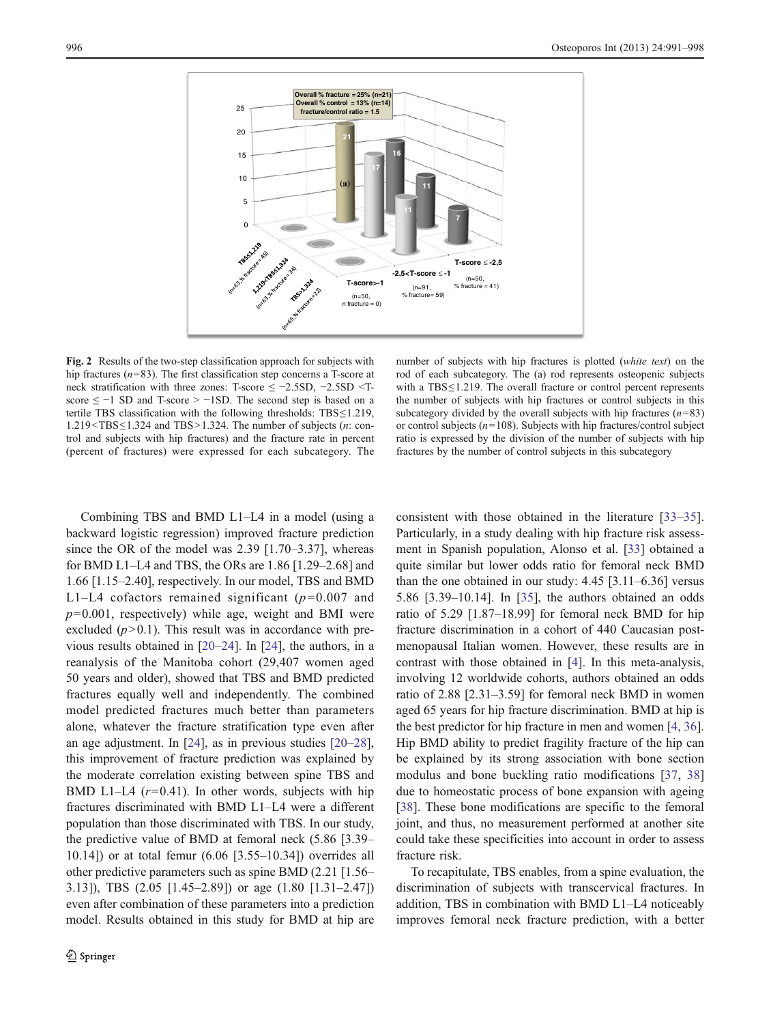<span id="page-5-0"></span>

Fig. 2 Results of the two-step classification approach for subjects with hip fractures ( $n=83$ ). The first classification step concerns a T-score at neck stratification with three zones: T-score ≤ −2.5SD, −2.5SD <Tscore  $\leq -1$  SD and T-score > -1SD. The second step is based on a tertile TBS classification with the following thresholds: TBS≤1.219,  $1.219<$ TBS $\leq$ 1.324 and TBS $>$ 1.324. The number of subjects (*n*: control and subjects with hip fractures) and the fracture rate in percent (percent of fractures) were expressed for each subcategory. The

number of subjects with hip fractures is plotted (white text) on the rod of each subcategory. The (a) rod represents osteopenic subjects with a TBS≤1.219. The overall fracture or control percent represents the number of subjects with hip fractures or control subjects in this subcategory divided by the overall subjects with hip fractures  $(n=83)$ or control subjects ( $n=108$ ). Subjects with hip fractures/control subject ratio is expressed by the division of the number of subjects with hip fractures by the number of control subjects in this subcategory

Combining TBS and BMD L1–L4 in a model (using a backward logistic regression) improved fracture prediction since the OR of the model was 2.39 [1.70–3.37], whereas for BMD L1–L4 and TBS, the ORs are 1.86 [1.29–2.68] and 1.66 [1.15–2.40], respectively. In our model, TBS and BMD L1–L4 cofactors remained significant  $(p=0.007$  and  $p=0.001$ , respectively) while age, weight and BMI were excluded  $(p>0.1)$ . This result was in accordance with previous results obtained in [\[20](#page-7-0)–[24](#page-7-0)]. In [[24\]](#page-7-0), the authors, in a reanalysis of the Manitoba cohort (29,407 women aged 50 years and older), showed that TBS and BMD predicted fractures equally well and independently. The combined model predicted fractures much better than parameters alone, whatever the fracture stratification type even after an age adjustment. In [[24\]](#page-7-0), as in previous studies [\[20](#page-7-0)–[28](#page-7-0)], this improvement of fracture prediction was explained by the moderate correlation existing between spine TBS and BMD L1–L4  $(r=0.41)$ . In other words, subjects with hip fractures discriminated with BMD L1–L4 were a different population than those discriminated with TBS. In our study, the predictive value of BMD at femoral neck (5.86 [3.39– 10.14]) or at total femur (6.06 [3.55–10.34]) overrides all other predictive parameters such as spine BMD (2.21 [1.56– 3.13]), TBS (2.05 [1.45–2.89]) or age (1.80 [1.31–2.47]) even after combination of these parameters into a prediction model. Results obtained in this study for BMD at hip are consistent with those obtained in the literature [[33](#page-7-0)–[35](#page-7-0)]. Particularly, in a study dealing with hip fracture risk assessment in Spanish population, Alonso et al. [[33\]](#page-7-0) obtained a quite similar but lower odds ratio for femoral neck BMD than the one obtained in our study: 4.45 [3.11–6.36] versus 5.86 [3.39–10.14]. In [\[35](#page-7-0)], the authors obtained an odds ratio of 5.29 [1.87–18.99] for femoral neck BMD for hip fracture discrimination in a cohort of 440 Caucasian postmenopausal Italian women. However, these results are in contrast with those obtained in [[4\]](#page-6-0). In this meta-analysis, involving 12 worldwide cohorts, authors obtained an odds ratio of 2.88 [2.31–3.59] for femoral neck BMD in women aged 65 years for hip fracture discrimination. BMD at hip is the best predictor for hip fracture in men and women [[4,](#page-6-0) [36\]](#page-7-0). Hip BMD ability to predict fragility fracture of the hip can be explained by its strong association with bone section modulus and bone buckling ratio modifications [[37,](#page-7-0) [38](#page-7-0)] due to homeostatic process of bone expansion with ageing [\[38](#page-7-0)]. These bone modifications are specific to the femoral joint, and thus, no measurement performed at another site could take these specificities into account in order to assess fracture risk.

To recapitulate, TBS enables, from a spine evaluation, the discrimination of subjects with transcervical fractures. In addition, TBS in combination with BMD L1–L4 noticeably improves femoral neck fracture prediction, with a better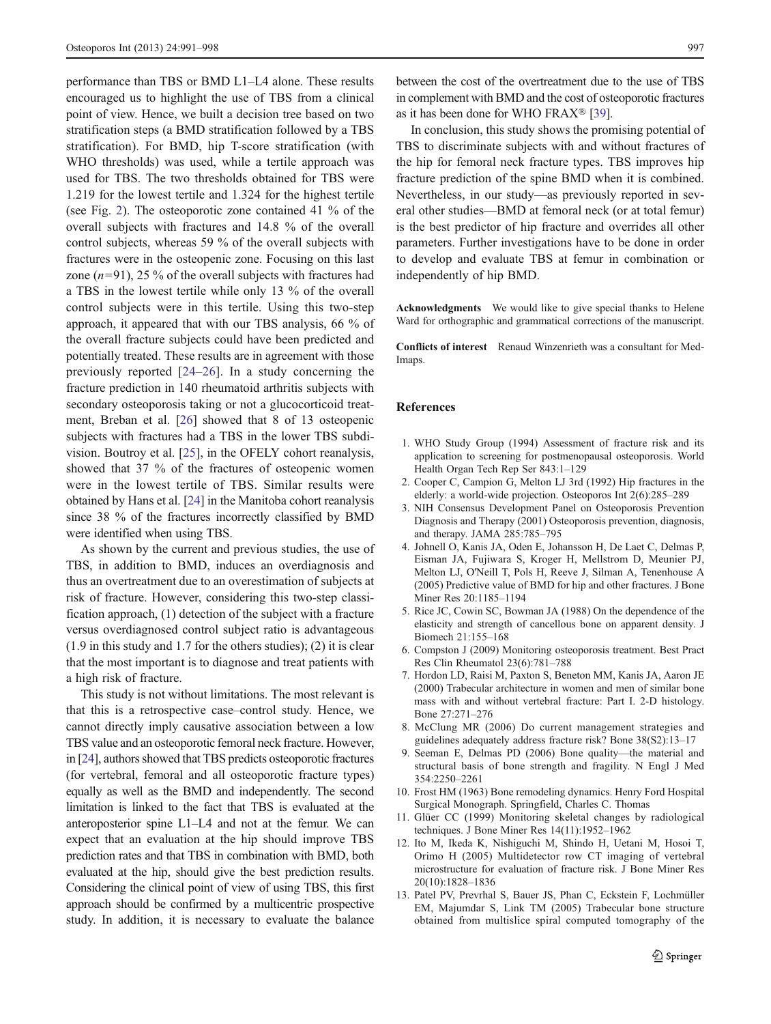<span id="page-6-0"></span>performance than TBS or BMD L1–L4 alone. These results encouraged us to highlight the use of TBS from a clinical point of view. Hence, we built a decision tree based on two stratification steps (a BMD stratification followed by a TBS stratification). For BMD, hip T-score stratification (with WHO thresholds) was used, while a tertile approach was used for TBS. The two thresholds obtained for TBS were 1.219 for the lowest tertile and 1.324 for the highest tertile (see Fig. [2\)](#page-5-0). The osteoporotic zone contained 41 % of the overall subjects with fractures and 14.8 % of the overall control subjects, whereas 59 % of the overall subjects with fractures were in the osteopenic zone. Focusing on this last zone  $(n=91)$ , 25 % of the overall subjects with fractures had a TBS in the lowest tertile while only 13 % of the overall control subjects were in this tertile. Using this two-step approach, it appeared that with our TBS analysis, 66 % of the overall fracture subjects could have been predicted and potentially treated. These results are in agreement with those previously reported [[24](#page-7-0)–[26\]](#page-7-0). In a study concerning the fracture prediction in 140 rheumatoid arthritis subjects with secondary osteoporosis taking or not a glucocorticoid treatment, Breban et al. [\[26](#page-7-0)] showed that 8 of 13 osteopenic subjects with fractures had a TBS in the lower TBS subdivision. Boutroy et al. [\[25](#page-7-0)], in the OFELY cohort reanalysis, showed that 37 % of the fractures of osteopenic women were in the lowest tertile of TBS. Similar results were obtained by Hans et al. [\[24\]](#page-7-0) in the Manitoba cohort reanalysis since 38 % of the fractures incorrectly classified by BMD were identified when using TBS.

As shown by the current and previous studies, the use of TBS, in addition to BMD, induces an overdiagnosis and thus an overtreatment due to an overestimation of subjects at risk of fracture. However, considering this two-step classification approach, (1) detection of the subject with a fracture versus overdiagnosed control subject ratio is advantageous (1.9 in this study and 1.7 for the others studies); (2) it is clear that the most important is to diagnose and treat patients with a high risk of fracture.

This study is not without limitations. The most relevant is that this is a retrospective case–control study. Hence, we cannot directly imply causative association between a low TBS value and an osteoporotic femoral neck fracture. However, in [\[24\]](#page-7-0), authors showed that TBS predicts osteoporotic fractures (for vertebral, femoral and all osteoporotic fracture types) equally as well as the BMD and independently. The second limitation is linked to the fact that TBS is evaluated at the anteroposterior spine L1–L4 and not at the femur. We can expect that an evaluation at the hip should improve TBS prediction rates and that TBS in combination with BMD, both evaluated at the hip, should give the best prediction results. Considering the clinical point of view of using TBS, this first approach should be confirmed by a multicentric prospective study. In addition, it is necessary to evaluate the balance

between the cost of the overtreatment due to the use of TBS in complement with BMD and the cost of osteoporotic fractures as it has been done for WHO FRAX® [[39](#page-7-0)].

In conclusion, this study shows the promising potential of TBS to discriminate subjects with and without fractures of the hip for femoral neck fracture types. TBS improves hip fracture prediction of the spine BMD when it is combined. Nevertheless, in our study—as previously reported in several other studies—BMD at femoral neck (or at total femur) is the best predictor of hip fracture and overrides all other parameters. Further investigations have to be done in order to develop and evaluate TBS at femur in combination or independently of hip BMD.

Acknowledgments We would like to give special thanks to Helene Ward for orthographic and grammatical corrections of the manuscript.

Conflicts of interest Renaud Winzenrieth was a consultant for Med-Imaps.

## References

- 1. WHO Study Group (1994) Assessment of fracture risk and its application to screening for postmenopausal osteoporosis. World Health Organ Tech Rep Ser 843:1–129
- 2. Cooper C, Campion G, Melton LJ 3rd (1992) Hip fractures in the elderly: a world-wide projection. Osteoporos Int 2(6):285–289
- 3. NIH Consensus Development Panel on Osteoporosis Prevention Diagnosis and Therapy (2001) Osteoporosis prevention, diagnosis, and therapy. JAMA 285:785–795
- 4. Johnell O, Kanis JA, Oden E, Johansson H, De Laet C, Delmas P, Eisman JA, Fujiwara S, Kroger H, Mellstrom D, Meunier PJ, Melton LJ, O'Neill T, Pols H, Reeve J, Silman A, Tenenhouse A (2005) Predictive value of BMD for hip and other fractures. J Bone Miner Res 20:1185–1194
- 5. Rice JC, Cowin SC, Bowman JA (1988) On the dependence of the elasticity and strength of cancellous bone on apparent density. J Biomech 21:155–168
- 6. Compston J (2009) Monitoring osteoporosis treatment. Best Pract Res Clin Rheumatol 23(6):781–788
- 7. Hordon LD, Raisi M, Paxton S, Beneton MM, Kanis JA, Aaron JE (2000) Trabecular architecture in women and men of similar bone mass with and without vertebral fracture: Part I. 2-D histology. Bone 27:271–276
- 8. McClung MR (2006) Do current management strategies and guidelines adequately address fracture risk? Bone 38(S2):13–17
- 9. Seeman E, Delmas PD (2006) Bone quality—the material and structural basis of bone strength and fragility. N Engl J Med 354:2250–2261
- 10. Frost HM (1963) Bone remodeling dynamics. Henry Ford Hospital Surgical Monograph. Springfield, Charles C. Thomas
- 11. Glüer CC (1999) Monitoring skeletal changes by radiological techniques. J Bone Miner Res 14(11):1952–1962
- 12. Ito M, Ikeda K, Nishiguchi M, Shindo H, Uetani M, Hosoi T, Orimo H (2005) Multidetector row CT imaging of vertebral microstructure for evaluation of fracture risk. J Bone Miner Res 20(10):1828–1836
- 13. Patel PV, Prevrhal S, Bauer JS, Phan C, Eckstein F, Lochmüller EM, Majumdar S, Link TM (2005) Trabecular bone structure obtained from multislice spiral computed tomography of the